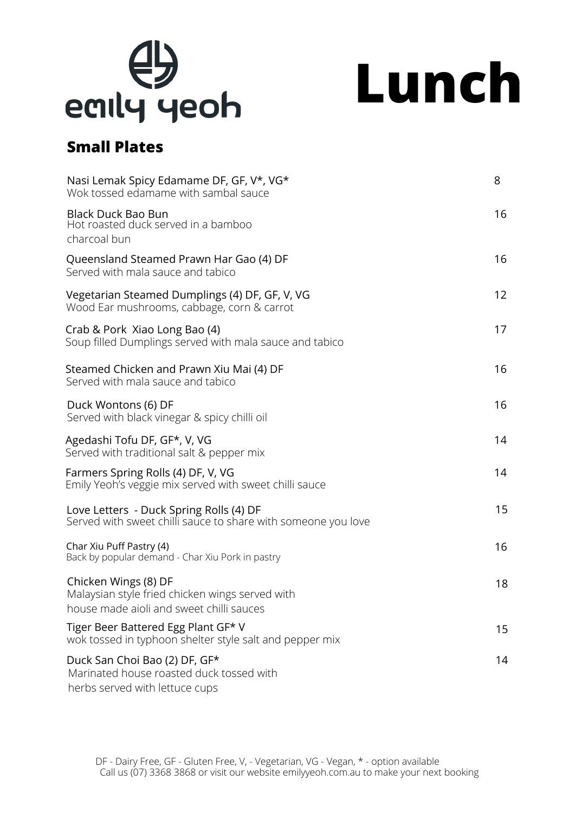

**Lunch**

# **Small Plates**

| Nasi Lemak Spicy Edamame DF, GF, V*, VG*<br>Wok tossed edamame with sambal sauce                                    | 8                 |
|---------------------------------------------------------------------------------------------------------------------|-------------------|
| <b>Black Duck Bao Bun</b><br>Hot roasted duck served in a bamboo<br>charcoal bun                                    | 16                |
| Queensland Steamed Prawn Har Gao (4) DF<br>Served with mala sauce and tabico                                        | 16                |
| Vegetarian Steamed Dumplings (4) DF, GF, V, VG<br>Wood Ear mushrooms, cabbage, corn & carrot                        | $12 \overline{ }$ |
| Crab & Pork Xiao Long Bao (4)<br>Soup filled Dumplings served with mala sauce and tabico                            | 17                |
| Steamed Chicken and Prawn Xiu Mai (4) DF<br>Served with mala sauce and tabico                                       | 16                |
| Duck Wontons (6) DF<br>Served with black vinegar & spicy chilli oil                                                 | 16                |
| Agedashi Tofu DF, GF*, V, VG<br>Served with traditional salt & pepper mix                                           | 14                |
| Farmers Spring Rolls (4) DF, V, VG<br>Emily Yeoh's veggie mix served with sweet chilli sauce                        | 14                |
| Love Letters - Duck Spring Rolls (4) DF<br>Served with sweet chilli sauce to share with someone you love            | 15                |
| Char Xiu Puff Pastry (4)<br>Back by popular demand - Char Xiu Pork in pastry                                        | 16                |
| Chicken Wings (8) DF<br>Malaysian style fried chicken wings served with<br>house made aioli and sweet chilli sauces | 18                |
| Tiger Beer Battered Egg Plant GF* V<br>wok tossed in typhoon shelter style salt and pepper mix                      | 15                |
| Duck San Choi Bao (2) DF, GF*<br>Marinated house roasted duck tossed with<br>herbs served with lettuce cups         | 14                |